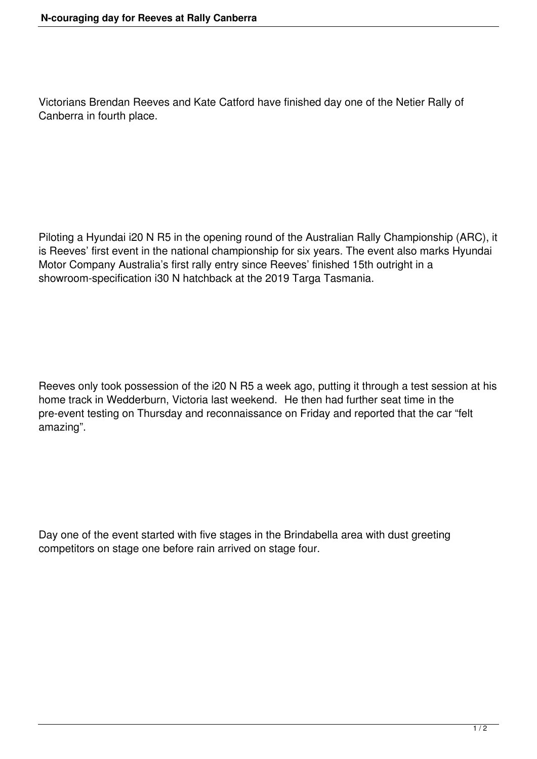Victorians Brendan Reeves and Kate Catford have finished day one of the Netier Rally of Canberra in fourth place.

Piloting a Hyundai i20 N R5 in the opening round of the Australian Rally Championship (ARC), it is Reeves' first event in the national championship for six years. The event also marks Hyundai Motor Company Australia's first rally entry since Reeves' finished 15th outright in a showroom-specification i30 N hatchback at the 2019 Targa Tasmania.

Reeves only took possession of the i20 N R5 a week ago, putting it through a test session at his home track in Wedderburn, Victoria last weekend. He then had further seat time in the pre-event testing on Thursday and reconnaissance on Friday and reported that the car "felt amazing".

Day one of the event started with five stages in the Brindabella area with dust greeting competitors on stage one before rain arrived on stage four.